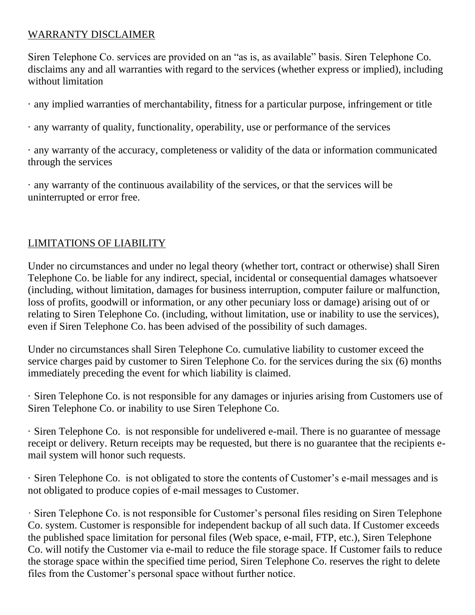## WARRANTY DISCLAIMER

Siren Telephone Co. services are provided on an "as is, as available" basis. Siren Telephone Co. disclaims any and all warranties with regard to the services (whether express or implied), including without limitation

· any implied warranties of merchantability, fitness for a particular purpose, infringement or title

· any warranty of quality, functionality, operability, use or performance of the services

· any warranty of the accuracy, completeness or validity of the data or information communicated through the services

· any warranty of the continuous availability of the services, or that the services will be uninterrupted or error free.

## LIMITATIONS OF LIABILITY

Under no circumstances and under no legal theory (whether tort, contract or otherwise) shall Siren Telephone Co. be liable for any indirect, special, incidental or consequential damages whatsoever (including, without limitation, damages for business interruption, computer failure or malfunction, loss of profits, goodwill or information, or any other pecuniary loss or damage) arising out of or relating to Siren Telephone Co. (including, without limitation, use or inability to use the services), even if Siren Telephone Co. has been advised of the possibility of such damages.

Under no circumstances shall Siren Telephone Co. cumulative liability to customer exceed the service charges paid by customer to Siren Telephone Co. for the services during the six (6) months immediately preceding the event for which liability is claimed.

· Siren Telephone Co. is not responsible for any damages or injuries arising from Customers use of Siren Telephone Co. or inability to use Siren Telephone Co.

· Siren Telephone Co. is not responsible for undelivered e-mail. There is no guarantee of message receipt or delivery. Return receipts may be requested, but there is no guarantee that the recipients email system will honor such requests.

· Siren Telephone Co. is not obligated to store the contents of Customer's e-mail messages and is not obligated to produce copies of e-mail messages to Customer.

· Siren Telephone Co. is not responsible for Customer's personal files residing on Siren Telephone Co. system. Customer is responsible for independent backup of all such data. If Customer exceeds the published space limitation for personal files (Web space, e-mail, FTP, etc.), Siren Telephone Co. will notify the Customer via e-mail to reduce the file storage space. If Customer fails to reduce the storage space within the specified time period, Siren Telephone Co. reserves the right to delete files from the Customer's personal space without further notice.